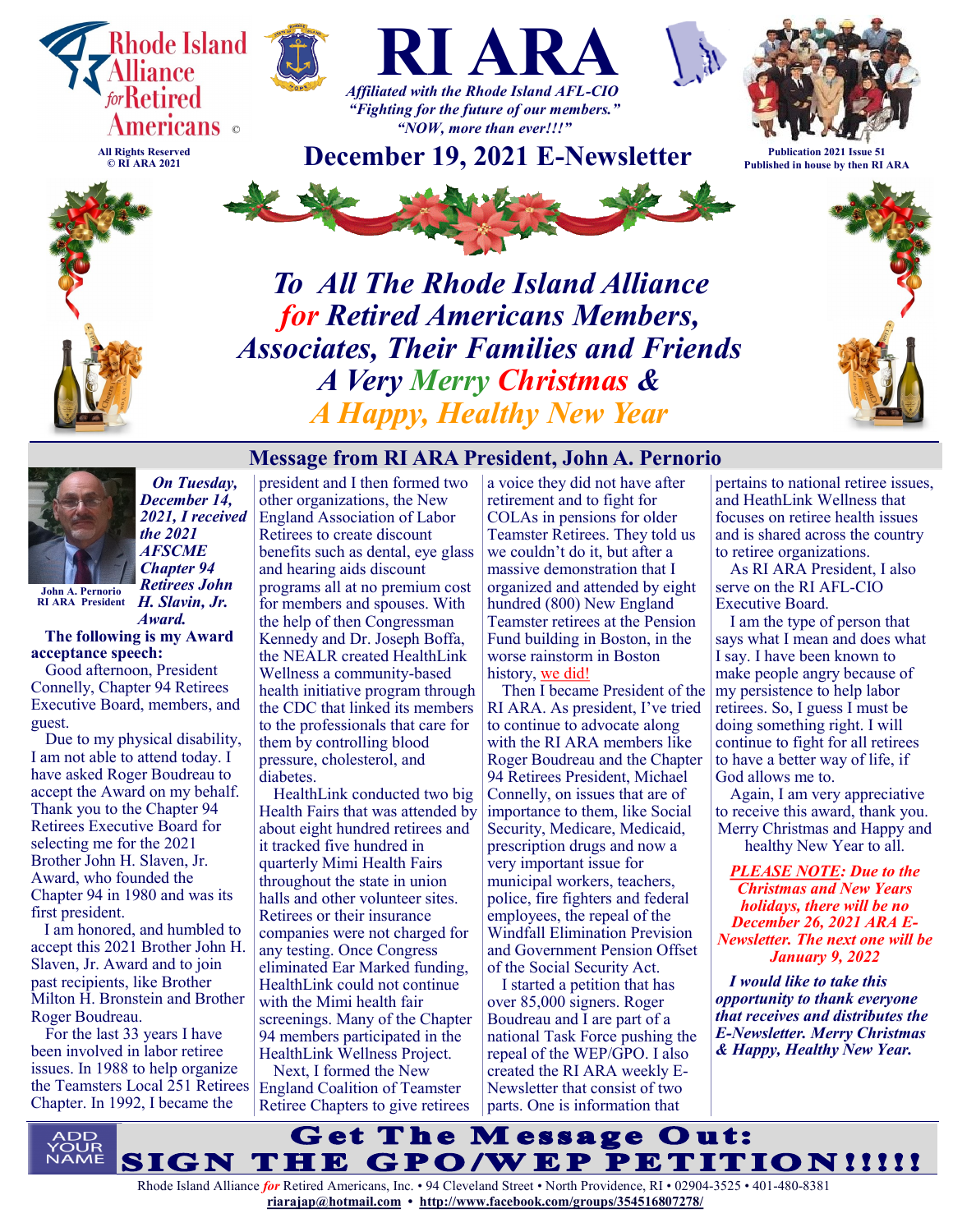

**© RI ARA 2021**





*"NOW, more than ever!!!"* **December 19, 2021 E-Newsletter Publication 2021 Issue 51**



**Published in house by then RI ARA**



*To All The Rhode Island Alliance for Retired Americans Members, Associates, Their Families and Friends A Very Merry Christmas & A Happy, Healthy New Year*



 *On Tuesday, December 14, 2021, I received the 2021 AFSCME Chapter 94 Retirees John* 

*H. Slavin, Jr.*  **RI ARA President***Award.*  **John A. Pernorio**

#### **The following is my Award acceptance speech:**

Good afternoon, President Connelly, Chapter 94 Retirees Executive Board, members, and guest.

Due to my physical disability, I am not able to attend today. I have asked Roger Boudreau to accept the Award on my behalf. Thank you to the Chapter 94 Retirees Executive Board for selecting me for the 2021 Brother John H. Slaven, Jr. Award, who founded the Chapter 94 in 1980 and was its first president.

I am honored, and humbled to accept this 2021 Brother John H. Slaven, Jr. Award and to join past recipients, like Brother Milton H. Bronstein and Brother Roger Boudreau.

For the last 33 years I have been involved in labor retiree issues. In 1988 to help organize the Teamsters Local 251 Retirees Chapter. In 1992, I became the

president and I then formed two other organizations, the New England Association of Labor Retirees to create discount benefits such as dental, eye glass and hearing aids discount programs all at no premium cost for members and spouses. With the help of then Congressman Kennedy and Dr. Joseph Boffa, the NEALR created HealthLink Wellness a community-based health initiative program through the CDC that linked its members to the professionals that care for them by controlling blood pressure, cholesterol, and diabetes.

HealthLink conducted two big Health Fairs that was attended by about eight hundred retirees and it tracked five hundred in quarterly Mimi Health Fairs throughout the state in union halls and other volunteer sites. Retirees or their insurance companies were not charged for any testing. Once Congress eliminated Ear Marked funding, HealthLink could not continue with the Mimi health fair screenings. Many of the Chapter 94 members participated in the HealthLink Wellness Project.

Next, I formed the New England Coalition of Teamster Retiree Chapters to give retirees

**Message from RI ARA President, John A. Pernorio** a voice they did not have after retirement and to fight for COLAs in pensions for older Teamster Retirees. They told us we couldn't do it, but after a massive demonstration that I organized and attended by eight hundred (800) New England Teamster retirees at the Pension Fund building in Boston, in the worse rainstorm in Boston history, we did!

> Then I became President of the RI ARA. As president, I've tried to continue to advocate along with the RI ARA members like Roger Boudreau and the Chapter 94 Retirees President, Michael Connelly, on issues that are of importance to them, like Social Security, Medicare, Medicaid, prescription drugs and now a very important issue for municipal workers, teachers, police, fire fighters and federal employees, the repeal of the Windfall Elimination Prevision and Government Pension Offset of the Social Security Act.

I started a petition that has over 85,000 signers. Roger Boudreau and I are part of a national Task Force pushing the repeal of the WEP/GPO. I also created the RI ARA weekly E-Newsletter that consist of two parts. One is information that

pertains to national retiree issues, and HeathLink Wellness that focuses on retiree health issues and is shared across the country to retiree organizations.

As RI ARA President, I also serve on the RI AFL-CIO Executive Board.

I am the type of person that says what I mean and does what I say. I have been known to make people angry because of my persistence to help labor retirees. So, I guess I must be doing something right. I will continue to fight for all retirees to have a better way of life, if God allows me to.

Again, I am very appreciative to receive this award, thank you. Merry Christmas and Happy and healthy New Year to all.

*PLEASE NOTE: Due to the Christmas and New Years holidays, there will be no December 26, 2021 ARA E-Newsletter. The next one will be January 9, 2022*

*I would like to take this opportunity to thank everyone that receives and distributes the E-Newsletter. Merry Christmas & Happy, Healthy New Year.*

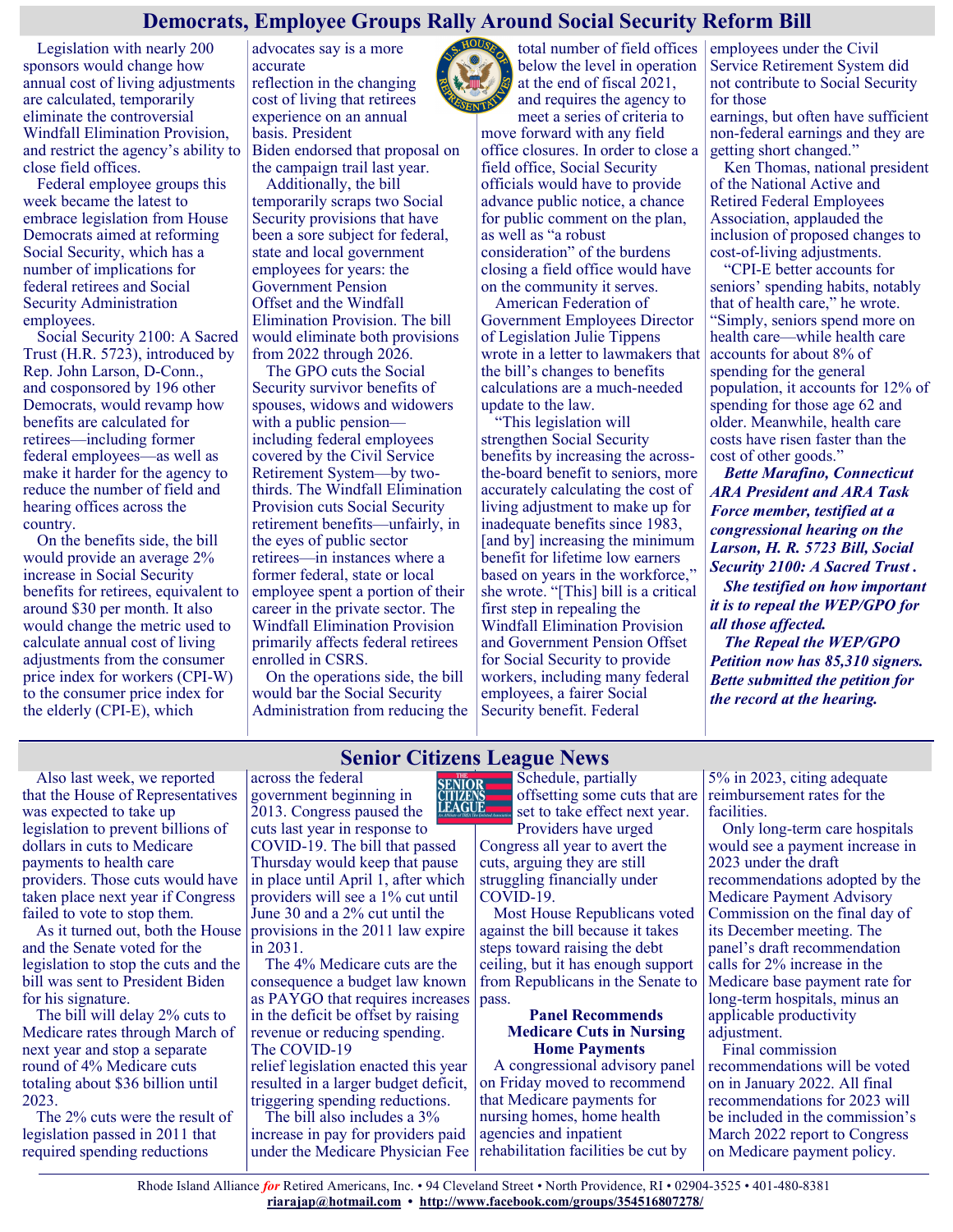## **Democrats, Employee Groups Rally Around Social Security Reform Bill**

Legislation with nearly 200 sponsors would change how annual cost of living adjustments are calculated, temporarily eliminate the controversial Windfall Elimination Provision, and restrict the agency's ability to close field offices.

Federal employee groups this week became the latest to embrace legislation from House Democrats aimed at reforming Social Security, which has a number of implications for federal retirees and Social Security Administration employees.

Social Security 2100: A Sacred Trust (H.R. 5723), introduced by Rep. John Larson, D-Conn., and cosponsored by 196 other Democrats, would revamp how benefits are calculated for retirees—including former federal employees—as well as make it harder for the agency to reduce the number of field and hearing offices across the country.

On the benefits side, the bill would provide an average 2% increase in Social Security benefits for retirees, equivalent to around \$30 per month. It also would change the metric used to calculate annual cost of living adjustments from the consumer price index for workers (CPI-W) to the consumer price index for the elderly (CPI-E), which

advocates say is a more accurate reflection in the changing cost of living that retirees experience on an annual basis. President Biden endorsed that proposal on

the campaign trail last year. Additionally, the bill temporarily scraps two Social Security provisions that have been a sore subject for federal, state and local government employees for years: the Government Pension Offset and the Windfall Elimination Provision. The bill

would eliminate both provisions

from 2022 through 2026. The GPO cuts the Social Security survivor benefits of spouses, widows and widowers with a public pension including federal employees covered by the Civil Service Retirement System—by twothirds. The Windfall Elimination Provision cuts Social Security retirement benefits—unfairly, in the eyes of public sector retirees—in instances where a former federal, state or local employee spent a portion of their career in the private sector. The Windfall Elimination Provision primarily affects federal retirees enrolled in CSRS.

On the operations side, the bill would bar the Social Security Administration from reducing the

meet a series of criteria to move forward with any field office closures. In order to close a field office, Social Security officials would have to provide advance public notice, a chance for public comment on the plan, as well as "a robust consideration" of the burdens closing a field office would have on the community it serves.

below the level in operation at the end of fiscal 2021, and requires the agency to

American Federation of Government Employees Director of Legislation Julie Tippens wrote in a letter to lawmakers that the bill's changes to benefits calculations are a much-needed update to the law.

"This legislation will strengthen Social Security benefits by increasing the acrossthe-board benefit to seniors, more accurately calculating the cost of living adjustment to make up for inadequate benefits since 1983, [and by] increasing the minimum benefit for lifetime low earners based on years in the workforce." she wrote. "[This] bill is a critical first step in repealing the Windfall Elimination Provision and Government Pension Offset for Social Security to provide workers, including many federal employees, a fairer Social Security benefit. Federal

total number of field offices employees under the Civil Service Retirement System did not contribute to Social Security for those

> earnings, but often have sufficient non-federal earnings and they are getting short changed."

> Ken Thomas, national president of the National Active and Retired Federal Employees Association, applauded the inclusion of proposed changes to cost-of-living adjustments.

> "CPI-E better accounts for seniors' spending habits, notably that of health care," he wrote. "Simply, seniors spend more on health care—while health care accounts for about 8% of spending for the general population, it accounts for 12% of spending for those age 62 and older. Meanwhile, health care costs have risen faster than the cost of other goods."

*Bette Marafino, Connecticut ARA President and ARA Task Force member, testified at a congressional hearing on the Larson, H. R. 5723 Bill, Social Security 2100: A Sacred Trust . She testified on how important it is to repeal the WEP/GPO for all those affected. The Repeal the WEP/GPO Petition now has 85,310 signers. Bette submitted the petition for the record at the hearing.*

Also last week, we reported that the House of Representatives was expected to take up legislation to prevent billions of dollars in cuts to Medicare payments to health care providers. Those cuts would have taken place next year if Congress failed to vote to stop them.

As it turned out, both the House and the Senate voted for the legislation to stop the cuts and the bill was sent to President Biden for his signature.

The bill will delay 2% cuts to Medicare rates through March of next year and stop a separate round of 4% Medicare cuts totaling about \$36 billion until 2023.

The 2% cuts were the result of legislation passed in 2011 that required spending reductions

## **Senior Citizens League News**

across the federal **SENIOR** government beginning in LEAGUE 2013. Congress paused the cuts last year in response to COVID-19. The bill that passed Thursday would keep that pause in place until April 1, after which providers will see a 1% cut until June 30 and a 2% cut until the provisions in the 2011 law expire in 2031.

The 4% Medicare cuts are the consequence a budget law known as PAYGO that requires increases in the deficit be offset by raising revenue or reducing spending. The COVID-19

relief legislation enacted this year resulted in a larger budget deficit, triggering spending reductions.

The bill also includes a 3% increase in pay for providers paid under the Medicare Physician Fee Schedule, partially offsetting some cuts that are set to take effect next year.

Providers have urged Congress all year to avert the cuts, arguing they are still struggling financially under COVID-19.

Most House Republicans voted against the bill because it takes steps toward raising the debt ceiling, but it has enough support from Republicans in the Senate to pass.

#### **Panel Recommends Medicare Cuts in Nursing Home Payments**

A congressional advisory panel on Friday moved to recommend that Medicare payments for nursing homes, home health agencies and inpatient rehabilitation facilities be cut by

5% in 2023, citing adequate reimbursement rates for the facilities.

Only long-term care hospitals would see a payment increase in 2023 under the draft recommendations adopted by the Medicare Payment Advisory Commission on the final day of its December meeting. The panel's draft recommendation calls for 2% increase in the Medicare base payment rate for long-term hospitals, minus an applicable productivity adjustment.

Final commission recommendations will be voted on in January 2022. All final recommendations for 2023 will be included in the commission's March 2022 report to Congress on Medicare payment policy.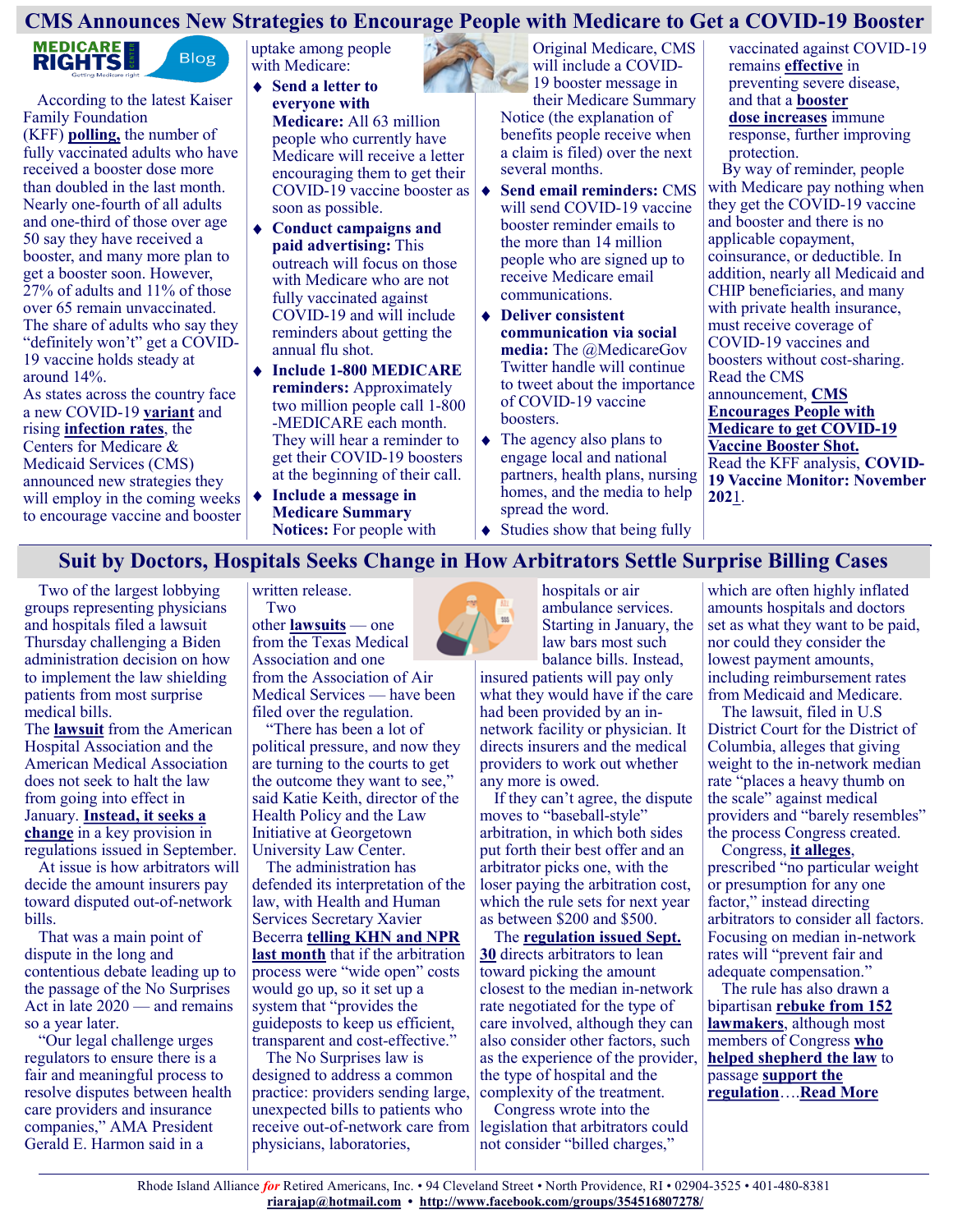# **CMS Announces New Strategies to Encourage People with Medicare to Get a COVID-19 Booster**



According to the latest Kaiser Family Foundation (KFF) **[polling,](https://www.kff.org/coronavirus-covid-19/poll-finding/kff-covid-19-vaccine-monitor-november-2021/)** the number of fully vaccinated adults who have received a booster dose more than doubled in the last month. Nearly one-fourth of all adults and one-third of those over age 50 say they have received a booster, and many more plan to get a booster soon. However, 27% of adults and 11% of those over 65 remain unvaccinated. The share of adults who say they "definitely won't" get a COVID-19 vaccine holds steady at around 14%.

As states across the country face a new COVID-19 **[variant](https://www.cdc.gov/coronavirus/2019-ncov/variants/omicron-variant.html)** and rising **[infection rates](https://graphics.reuters.com/HEALTH-CORONAVIRUS/USA-TRENDS/dgkvlgkrkpb/)**, the Centers for Medicare & Medicaid Services (CMS) announced new strategies they will employ in the coming weeks to encourage vaccine and booster

uptake among people with Medicare:

- **Send a letter to everyone with Medicare:** All 63 million people who currently have Medicare will receive a letter encouraging them to get their soon as possible.
- **Conduct campaigns and paid advertising:** This outreach will focus on those with Medicare who are not fully vaccinated against COVID-19 and will include reminders about getting the annual flu shot.
- **Include 1-800 MEDICARE reminders:** Approximately two million people call 1-800 -MEDICARE each month. They will hear a reminder to get their COVID-19 boosters at the beginning of their call.
- **Include a message in Medicare Summary Notices:** For people with

Original Medicare, CMS will include a COVID-19 booster message in

their Medicare Summary Notice (the explanation of benefits people receive when a claim is filed) over the next several months.

- COVID-19 vaccine booster as **↓ Send email reminders:** CMS will send COVID-19 vaccine booster reminder emails to the more than 14 million people who are signed up to receive Medicare email communications.
	- **Deliver consistent communication via social media:** The @MedicareGov Twitter handle will continue to tweet about the importance of COVID-19 vaccine boosters.
	- The agency also plans to engage local and national partners, health plans, nursing homes, and the media to help spread the word.

vaccinated against COVID-19 remains **[effective](https://www.cdc.gov/coronavirus/2019-ncov/vaccines/effectiveness/index.html?CDC_AA_refVal=https%3A%2F%2Fwww.cdc.gov%2Fcoronavirus%2F2019-ncov%2Fvaccines%2Feffectiveness.html)** in preventing severe disease, and that a **[booster](https://www.cnbc.com/2021/12/08/pfizer-biontech-say-booster-dose-provides-high-level-of-protection-against-omicron-variant.html)  [dose](https://www.cnbc.com/2021/12/08/pfizer-biontech-say-booster-dose-provides-high-level-of-protection-against-omicron-variant.html) [increases](https://www.cdc.gov/coronavirus/2019-ncov/vaccines/booster-shot.html?s_cid=11504:are%20the%20vaccines%20effective%20against%20the%20delta%20variant:sem.ga:p:RG:GM:gen:PTN:FY21)** immune response, further improving protection.

By way of reminder, people with Medicare pay nothing when they get the COVID-19 vaccine and booster and there is no applicable copayment, coinsurance, or deductible. In addition, nearly all Medicaid and CHIP beneficiaries, and many with private health insurance, must receive coverage of COVID-19 vaccines and boosters without cost-sharing. Read the CMS announcement, **[CMS](https://www.cms.gov/newsroom/news-alert/cms-encourages-people-medicare-get-covid-19-vaccine-booster-shot)  [Encourages People with](https://www.cms.gov/newsroom/news-alert/cms-encourages-people-medicare-get-covid-19-vaccine-booster-shot)  [Medicare to get COVID](https://www.cms.gov/newsroom/news-alert/cms-encourages-people-medicare-get-covid-19-vaccine-booster-shot)-19 [Vaccine Booster Shot.](https://www.cms.gov/newsroom/news-alert/cms-encourages-people-medicare-get-covid-19-vaccine-booster-shot)** Read the KFF analysis, **[COVID](https://www.kff.org/coronavirus-covid-19/poll-finding/kff-covid-19-vaccine-monitor-november-2021/)-[19 Vaccine Monitor: November](https://www.kff.org/coronavirus-covid-19/poll-finding/kff-covid-19-vaccine-monitor-november-2021/)  [202](https://www.kff.org/coronavirus-covid-19/poll-finding/kff-covid-19-vaccine-monitor-november-2021/)**1.

• Studies show that being fully

## **Suit by Doctors, Hospitals Seeks Change in How Arbitrators Settle Surprise Billing Cases**

Two of the largest lobbying groups representing physicians and hospitals filed a lawsuit Thursday challenging a Biden administration decision on how to implement the law shielding patients from most surprise medical bills.

The **[lawsuit](https://www.ama-assn.org/system/files/ama-v-hhs-as-filed-complaint.pdf)** from the American Hospital Association and the American Medical Association does not seek to halt the law from going into effect in January. **[Instead, it seeks a](https://www.ama-assn.org/system/files/ama-v-hhs-as-filed-stay-motion-and-brief.pdf)  [change](https://www.ama-assn.org/system/files/ama-v-hhs-as-filed-stay-motion-and-brief.pdf)** in a key provision in regulations issued in September.

At issue is how arbitrators will decide the amount insurers pay toward disputed out-of-network bills.

That was a main point of dispute in the long and contentious debate leading up to the passage of the No Surprises Act in late 2020 — and remains so a year later.

"Our legal challenge urges regulators to ensure there is a fair and meaningful process to resolve disputes between health care providers and insurance companies," AMA President Gerald E. Harmon said in a

written release. Two

other **[lawsuits](https://www.healthaffairs.org/do/10.1377/hblog20211206.44185/full/)** — one from the Texas Medical Association and one from the Association of Air Medical Services — have been filed over the regulation.

"There has been a lot of political pressure, and now they are turning to the courts to get the outcome they want to see," said Katie Keith, director of the Health Policy and the Law Initiative at Georgetown University Law Center.

The administration has defended its interpretation of the law, with Health and Human Services Secretary Xavier Becerra **[telling KHN and NPR](https://khn.org/news/article/xavier-becerra-surprise-billing-rules-hhs-report-price-negotiation-arbitration/)  [last month](https://khn.org/news/article/xavier-becerra-surprise-billing-rules-hhs-report-price-negotiation-arbitration/)** that if the arbitration process were "wide open" costs would go up, so it set up a system that "provides the guideposts to keep us efficient, transparent and cost-effective."

The No Surprises law is designed to address a common practice: providers sending large, unexpected bills to patients who receive out-of-network care from physicians, laboratories,



insured patients will pay only what they would have if the care had been provided by an innetwork facility or physician. It directs insurers and the medical providers to work out whether any more is owed.

If they can't agree, the dispute moves to "baseball-style" arbitration, in which both sides put forth their best offer and an arbitrator picks one, with the loser paying the arbitration cost, which the rule sets for next year as between \$200 and \$500.

The **[regulation issued Sept.](https://www.hhs.gov/about/news/2021/09/30/biden-harris-administration-advances-key-protections-against-surprise-medical-bills.html)  [30](https://www.hhs.gov/about/news/2021/09/30/biden-harris-administration-advances-key-protections-against-surprise-medical-bills.html)** directs arbitrators to lean toward picking the amount closest to the median in-network rate negotiated for the type of care involved, although they can also consider other factors, such as the experience of the provider, the type of hospital and the complexity of the treatment.

Congress wrote into the legislation that arbitrators could not consider "billed charges,"

which are often highly inflated amounts hospitals and doctors set as what they want to be paid, nor could they consider the lowest payment amounts, including reimbursement rates from Medicaid and Medicare.

The lawsuit, filed in U.S District Court for the District of Columbia, alleges that giving weight to the in-network median rate "places a heavy thumb on the scale" against medical providers and "barely resembles" the process Congress created.

Congress, **[it alleges](https://www.ama-assn.org/system/files/ama-v-hhs-as-filed-stay-motion-and-brief.pdf)**, prescribed "no particular weight or presumption for any one factor," instead directing arbitrators to consider all factors. Focusing on median in-network rates will "prevent fair and adequate compensation."

The rule has also drawn a bipartisan **[rebuke from 152](https://khn.org/news/article/surprise-medical-bills-policy-congressional-doctors-backlash/)  [lawmakers](https://khn.org/news/article/surprise-medical-bills-policy-congressional-doctors-backlash/)**, although most members of Congress **[who](https://energycommerce.house.gov/newsroom/press-releases/pallone-murray-voice-support-for-biden-administration-s-surprise-billing)  [helped shepherd the law](https://energycommerce.house.gov/newsroom/press-releases/pallone-murray-voice-support-for-biden-administration-s-surprise-billing)** to passage **[support the](https://edlabor.house.gov/media/press-releases/chairman-scott-ranking-member-foxx-express-bipartisan-support-for-surprise-billing-protections)  [regulation](https://edlabor.house.gov/media/press-releases/chairman-scott-ranking-member-foxx-express-bipartisan-support-for-surprise-billing-protections)**….**[Read More](https://khn.org/news/article/suit-by-doctors-hospitals-seeks-change-in-how-arbitrators-settle-surprise-billing-cases/)**

555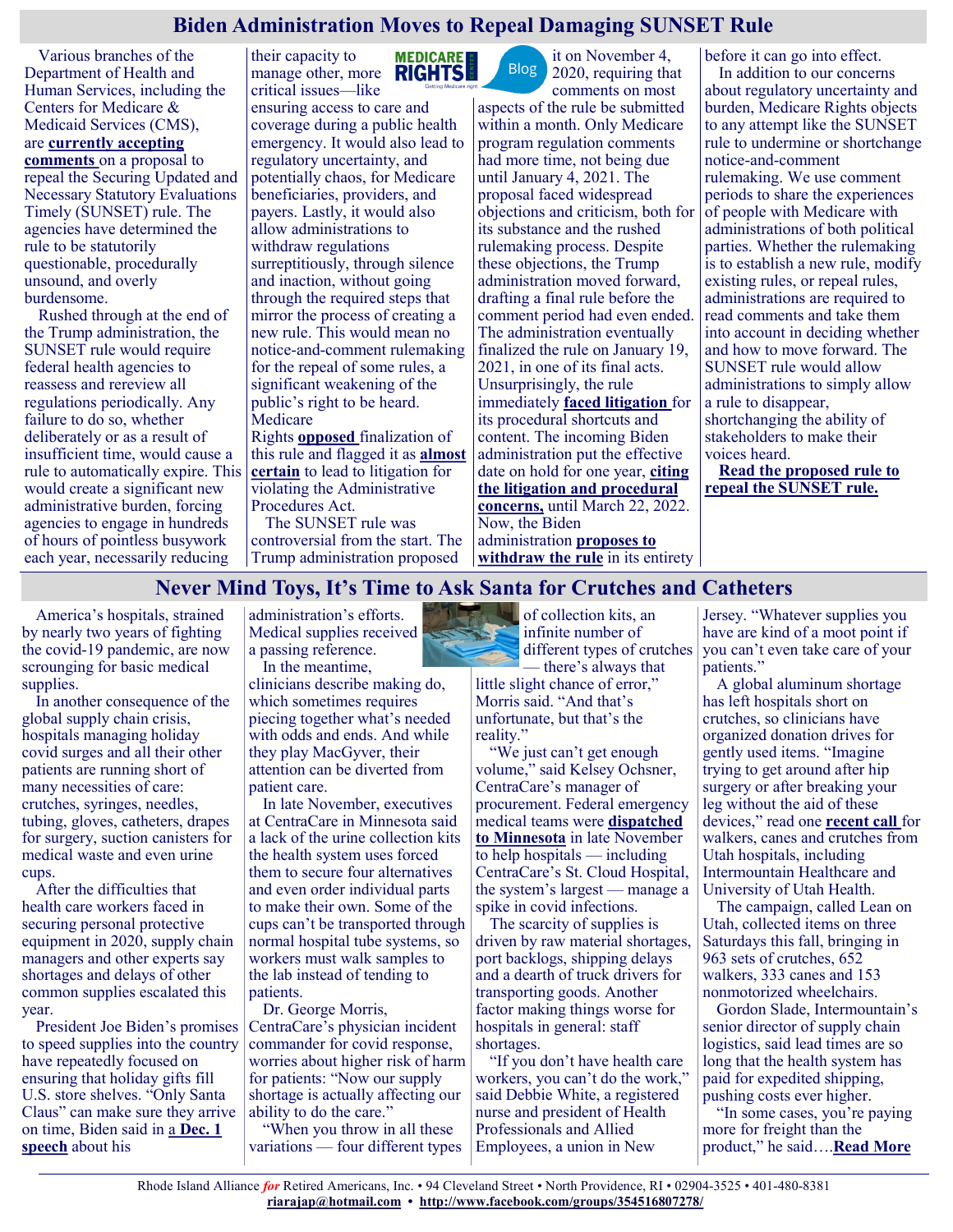# **Biden Administration Moves to Repeal Damaging SUNSET Rule**

Various branches of the Department of Health and Human Services, including the Centers for Medicare & Medicaid Services (CMS), are **[currently accepting](https://www.federalregister.gov/documents/2021/10/29/2021-23472/securing-updated-and-necessary-statutory-evaluations-timely-proposal-to-withdraw-or-repeal)  [comments](https://www.federalregister.gov/documents/2021/10/29/2021-23472/securing-updated-and-necessary-statutory-evaluations-timely-proposal-to-withdraw-or-repeal)** on a proposal to

repeal the Securing Updated and Necessary Statutory Evaluations Timely (SUNSET) rule. The agencies have determined the rule to be statutorily questionable, procedurally unsound, and overly burdensome.

Rushed through at the end of the Trump administration, the SUNSET rule would require federal health agencies to reassess and rereview all regulations periodically. Any failure to do so, whether deliberately or as a result of insufficient time, would cause a rule to automatically expire. This would create a significant new administrative burden, forcing agencies to engage in hundreds of hours of pointless busywork each year, necessarily reducing

their capacity to **MEDICARE** manage other, more critical issues—like ensuring access to care and coverage during a public health emergency. It would also lead to regulatory uncertainty, and potentially chaos, for Medicare beneficiaries, providers, and payers. Lastly, it would also allow administrations to withdraw regulations surreptitiously, through silence and inaction, without going through the required steps that mirror the process of creating a new rule. This would mean no notice-and-comment rulemaking for the repeal of some rules, a significant weakening of the public's right to be heard. Medicare

Rights **[opposed](https://www.medicarerights.org/medicare-watch/2021/01/07/three-damaging-health-regulations-put-access-to-care-and-coverage-at-risk)** finalization of this rule and flagged it as **[almost](https://www.medicarerights.org/medicare-watch/2020/12/03/trump-administration-winds-down-with-flurry-of-regulatory-actions)  [certa](https://www.medicarerights.org/medicare-watch/2020/12/03/trump-administration-winds-down-with-flurry-of-regulatory-actions)in** to lead to litigation for violating the Administrative Procedures Act.

The SUNSET rule was controversial from the start. The Trump administration proposed

it on November 4, **Blog** 2020, requiring that

comments on most aspects of the rule be submitted within a month. Only Medicare program regulation comments had more time, not being due until January 4, 2021. The proposal faced widespread objections and criticism, both for its substance and the rushed rulemaking process. Despite these objections, the Trump administration moved forward, drafting a final rule before the comment period had even ended. The administration eventually finalized the rule on January 19, 2021, in one of its final acts. Unsurprisingly, the rule immediately **[faced litigation](https://www.fiercehealthcare.com/regulatory/lawsuit-wants-to-strike-down-hhs-sunset-rule-it-says-could-cause-chaos-for-agency)** for its procedural shortcuts and content. The incoming Biden administration put the effective date on hold for one year, **[citing](https://www.federalregister.gov/documents/2021/03/23/2021-05907/securing-updated-and-necessary-statutory-evaluations-timely-administrative-delay-of-effective-date)  [the litigation and procedural](https://www.federalregister.gov/documents/2021/03/23/2021-05907/securing-updated-and-necessary-statutory-evaluations-timely-administrative-delay-of-effective-date)  [concerns,](https://www.federalregister.gov/documents/2021/03/23/2021-05907/securing-updated-and-necessary-statutory-evaluations-timely-administrative-delay-of-effective-date)** until March 22, 2022. Now, the Biden administration **[proposes to](https://www.federalregister.gov/documents/2021/10/29/2021-23472/securing-updated-and-necessary-statutory-evaluations-timely-proposal-to-withdraw-or-repeal)  [withdraw the rule](https://www.federalregister.gov/documents/2021/10/29/2021-23472/securing-updated-and-necessary-statutory-evaluations-timely-proposal-to-withdraw-or-repeal)** in its entirety

before it can go into effect. In addition to our concerns about regulatory uncertainty and burden, Medicare Rights objects to any attempt like the SUNSET rule to undermine or shortchange notice-and-comment rulemaking. We use comment periods to share the experiences of people with Medicare with administrations of both political parties. Whether the rulemaking is to establish a new rule, modify existing rules, or repeal rules, administrations are required to read comments and take them into account in deciding whether and how to move forward. The SUNSET rule would allow administrations to simply allow a rule to disappear, shortchanging the ability of stakeholders to make their voices heard.

**[Read the proposed rule to](https://www.federalregister.gov/documents/2021/10/29/2021-23472/securing-updated-and-necessary-statutory-evaluations-timely-proposal-to-withdraw-or-repeal)  [repeal the SUNSET rule.](https://www.federalregister.gov/documents/2021/10/29/2021-23472/securing-updated-and-necessary-statutory-evaluations-timely-proposal-to-withdraw-or-repeal)**

## **Never Mind Toys, It's Time to Ask Santa for Crutches and Catheters**

America's hospitals, strained by nearly two years of fighting the covid-19 pandemic, are now scrounging for basic medical supplies.

In another consequence of the global supply chain crisis, hospitals managing holiday covid surges and all their other patients are running short of many necessities of care: crutches, syringes, needles, tubing, gloves, catheters, drapes for surgery, suction canisters for medical waste and even urine cups.

After the difficulties that health care workers faced in securing personal protective equipment in 2020, supply chain managers and other experts say shortages and delays of other common supplies escalated this year.

President Joe Biden's promises to speed supplies into the country have repeatedly focused on ensuring that holiday gifts fill U.S. store shelves. "Only Santa Claus" can make sure they arrive on time, Biden said in a **[Dec. 1](https://www.whitehouse.gov/briefing-room/statements-releases/2021/12/01/remarks-by-president-biden-on-the-nations-supply-chains/)  [speech](https://www.whitehouse.gov/briefing-room/statements-releases/2021/12/01/remarks-by-president-biden-on-the-nations-supply-chains/)** about his

administration's efforts. Medical supplies received a passing reference. In the meantime,

clinicians describe making do, which sometimes requires piecing together what's needed with odds and ends. And while they play MacGyver, their attention can be diverted from patient care.

In late November, executives at CentraCare in Minnesota said a lack of the urine collection kits the health system uses forced them to secure four alternatives and even order individual parts to make their own. Some of the cups can't be transported through normal hospital tube systems, so workers must walk samples to the lab instead of tending to patients.

Dr. George Morris, CentraCare's physician incident commander for covid response, worries about higher risk of harm for patients: "Now our supply shortage is actually affecting our ability to do the care."

"When you throw in all these variations — four different types



infinite number of different types of crutches there's always that little slight chance of error,"

Morris said. "And that's unfortunate, but that's the reality."

"We just can't get enough volume," said Kelsey Ochsner, CentraCare's manager of procurement. Federal emergency medical teams were **[dispatched](https://mn.gov/governor/covid-19/news/#/detail/appId/1/id/509192)  [to Minnesota](https://mn.gov/governor/covid-19/news/#/detail/appId/1/id/509192)** in late November to help hospitals — including CentraCare's St. Cloud Hospital, the system's largest — manage a spike in covid infections.

The scarcity of supplies is driven by raw material shortages, port backlogs, shipping delays and a dearth of truck drivers for transporting goods. Another factor making things worse for hospitals in general: staff shortages.

"If you don't have health care workers, you can't do the work," said Debbie White, a registered nurse and president of Health Professionals and Allied Employees, a union in New

Jersey. "Whatever supplies you have are kind of a moot point if you can't even take care of your patients."

A global aluminum shortage has left hospitals short on crutches, so clinicians have organized donation drives for gently used items. "Imagine trying to get around after hip surgery or after breaking your leg without the aid of these devices," read one **[recent call](https://intermountainhealthcare.org/c/lean-on-utah)** for walkers, canes and crutches from Utah hospitals, including Intermountain Healthcare and University of Utah Health.

The campaign, called Lean on Utah, collected items on three Saturdays this fall, bringing in 963 sets of crutches, 652 walkers, 333 canes and 153 nonmotorized wheelchairs.

Gordon Slade, Intermountain's senior director of supply chain logistics, said lead times are so long that the health system has paid for expedited shipping, pushing costs ever higher.

"In some cases, you're paying more for freight than the product," he said….**[Read More](https://khn.org/news/article/never-mind-toys-its-time-to-ask-santa-for-crutches-and-catheters/)**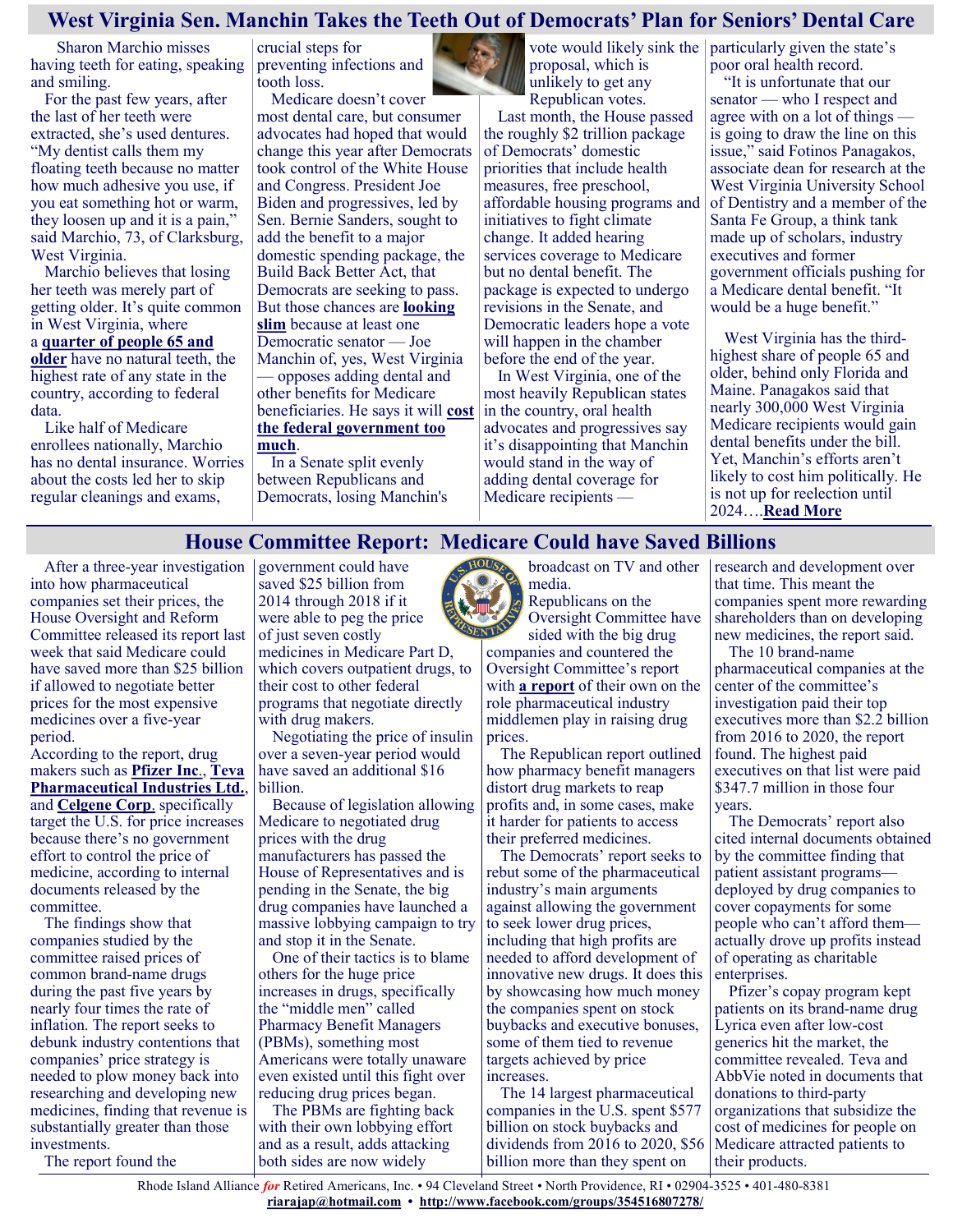## **West Virginia Sen. Manchin Takes the Teeth Out of Democrats' Plan for Seniors' Dental Care**

**Sharon Marchio misses** having teeth for eating, speaking and smiling.

For the past few years, after the last of her teeth were extracted, she's used dentures. "My dentist calls them my floating teeth because no matter how much adhesive you use, if you eat something hot or warm, they loosen up and it is a pain," said Marchio, 73, of Clarksburg, West Virginia.

Marchio believes that losing her teeth was merely part of getting older. It's quite common in West Virginia, where a **[quarter of people 65 and](https://www.americashealthrankings.org/explore/senior/measure/teeth_extractions_sr/state/WV)  [older](https://www.americashealthrankings.org/explore/senior/measure/teeth_extractions_sr/state/WV)** have no natural teeth, the highest rate of any state in the country, according to federal data.

Like half of Medicare enrollees nationally, Marchio has no dental insurance. Worries about the costs led her to skip regular cleanings and exams,

crucial steps for preventing infections and tooth loss.

Medicare doesn't cover most dental care, but consumer advocates had hoped that would change this year after Democrats took control of the White House and Congress. President Joe Biden and progressives, led by Sen. Bernie Sanders, sought to add the benefit to a major domestic spending package, the Build Back Better Act, that Democrats are seeking to pass. But those chances are **[looking](https://www.washingtonpost.com/health/2021/10/26/biden-reconciliation-medicare-medicaid-congress/)  [slim](https://www.washingtonpost.com/health/2021/10/26/biden-reconciliation-medicare-medicaid-congress/)** because at least one Democratic senator — Joe Manchin of, yes, West Virginia — opposes adding dental and other benefits for Medicare beneficiaries. He says it will **[cost](https://twitter.com/Sen_JoeManchin/status/1443330806987034628/photo/1)  [the federal government](https://twitter.com/Sen_JoeManchin/status/1443330806987034628/photo/1) too [much](https://www.wsj.com/articles/manchin-pelosi-biden-3-5-trillion-reconciliation-government-spending-debt-deficit-inflation-11630605657)**.

In a Senate split evenly between Republicans and Democrats, losing Manchin's proposal, which is unlikely to get any Republican votes.

Last month, the House passed the roughly \$2 trillion package of Democrats' domestic priorities that include health measures, free preschool, affordable housing programs and initiatives to fight climate change. It added hearing services coverage to Medicare but no dental benefit. The package is expected to undergo revisions in the Senate, and Democratic leaders hope a vote will happen in the chamber before the end of the year.

In West Virginia, one of the most heavily Republican states in the country, oral health advocates and progressives say it's disappointing that Manchin would stand in the way of adding dental coverage for Medicare recipients —

vote would likely sink the particularly given the state's poor oral health record.

> "It is unfortunate that our senator — who I respect and agree with on a lot of things is going to draw the line on this issue," said Fotinos Panagakos, associate dean for research at the West Virginia University School of Dentistry and a member of the Santa Fe Group, a think tank made up of scholars, industry executives and former government officials pushing for a Medicare dental benefit. "It would be a huge benefit."

West Virginia has the thirdhighest share of people 65 and older, behind only Florida and Maine. Panagakos said that nearly 300,000 West Virginia Medicare recipients would gain dental benefits under the bill. Yet, Manchin's efforts aren't likely to cost him politically. He is not up for reelection until 2024….**[Read More](https://khn.org/news/article/medicare-dental-care-west-virginia-senator-joe-manchin/)**

## **House Committee Report: Medicare Could have Saved Billions**

After a three-year investigation government could have into how pharmaceutical companies set their prices, the House Oversight and Reform Committee released its report last week that said Medicare could have saved more than \$25 billion if allowed to negotiate better prices for the most expensive medicines over a five-year period.

According to the report, drug makers such as **[Pfizer Inc](https://www.bgov.com/core/companies/app/#!/101166)**., **[Teva](https://www.bgov.com/core/companies/app/#!/107244)  [Pharmaceutical Industries Ltd.](https://www.bgov.com/core/companies/app/#!/107244)**, and **[Celgene Corp](https://www.bgov.com/core/companies/app/#!/102806)**. specifically target the U.S. for price increases because there's no government effort to control the price of medicine, according to internal documents released by the committee.

The findings show that companies studied by the committee raised prices of common brand-name drugs during the past five years by nearly four times the rate of inflation. The report seeks to debunk industry contentions that companies' price strategy is needed to plow money back into researching and developing new medicines, finding that revenue is substantially greater than those investments.

The report found the

saved \$25 billion from 2014 through 2018 if it were able to peg the price of just seven costly medicines in Medicare Part D, which covers outpatient drugs, to their cost to other federal

programs that negotiate directly with drug makers. Negotiating the price of insulin over a seven-year period would have saved an additional \$16 billion.

Because of legislation allowing Medicare to negotiated drug prices with the drug manufacturers has passed the House of Representatives and is pending in the Senate, the big drug companies have launched a massive lobbying campaign to try and stop it in the Senate.

One of their tactics is to blame others for the huge price increases in drugs, specifically the "middle men" called Pharmacy Benefit Managers (PBMs), something most Americans were totally unaware even existed until this fight over reducing drug prices began.

The PBMs are fighting back with their own lobbying effort and as a result, adds attacking both sides are now widely

broadcast on TV and other media. Republicans on the

Oversight Committee have sided with the big drug

companies and countered the Oversight Committee's report with **[a report](https://republicans-oversight.house.gov/wp-content/uploads/2021/12/PBM-Report-12102021.pdf)** of their own on the role pharmaceutical industry middlemen play in raising drug prices.

The Republican report outlined how pharmacy benefit managers distort drug markets to reap profits and, in some cases, make it harder for patients to access their preferred medicines.

The Democrats' report seeks to rebut some of the pharmaceutical industry's main arguments against allowing the government to seek lower drug prices, including that high profits are needed to afford development of innovative new drugs. It does this by showcasing how much money the companies spent on stock buybacks and executive bonuses, some of them tied to revenue targets achieved by price increases.

The 14 largest pharmaceutical companies in the U.S. spent \$577 billion on stock buybacks and dividends from 2016 to 2020, \$56 billion more than they spent on

research and development over that time. This meant the companies spent more rewarding shareholders than on developing new medicines, the report said.

The 10 brand-name pharmaceutical companies at the center of the committee's investigation paid their top executives more than \$2.2 billion from 2016 to 2020, the report found. The highest paid executives on that list were paid \$347.7 million in those four years.

The Democrats' report also cited internal documents obtained by the committee finding that patient assistant programs deployed by drug companies to cover copayments for some people who can't afford them actually drove up profits instead of operating as charitable enterprises.

Pfizer's copay program kept patients on its brand-name drug Lyrica even after low-cost generics hit the market, the committee revealed. Teva and AbbVie noted in documents that donations to third-party organizations that subsidize the cost of medicines for people on Medicare attracted patients to their products.

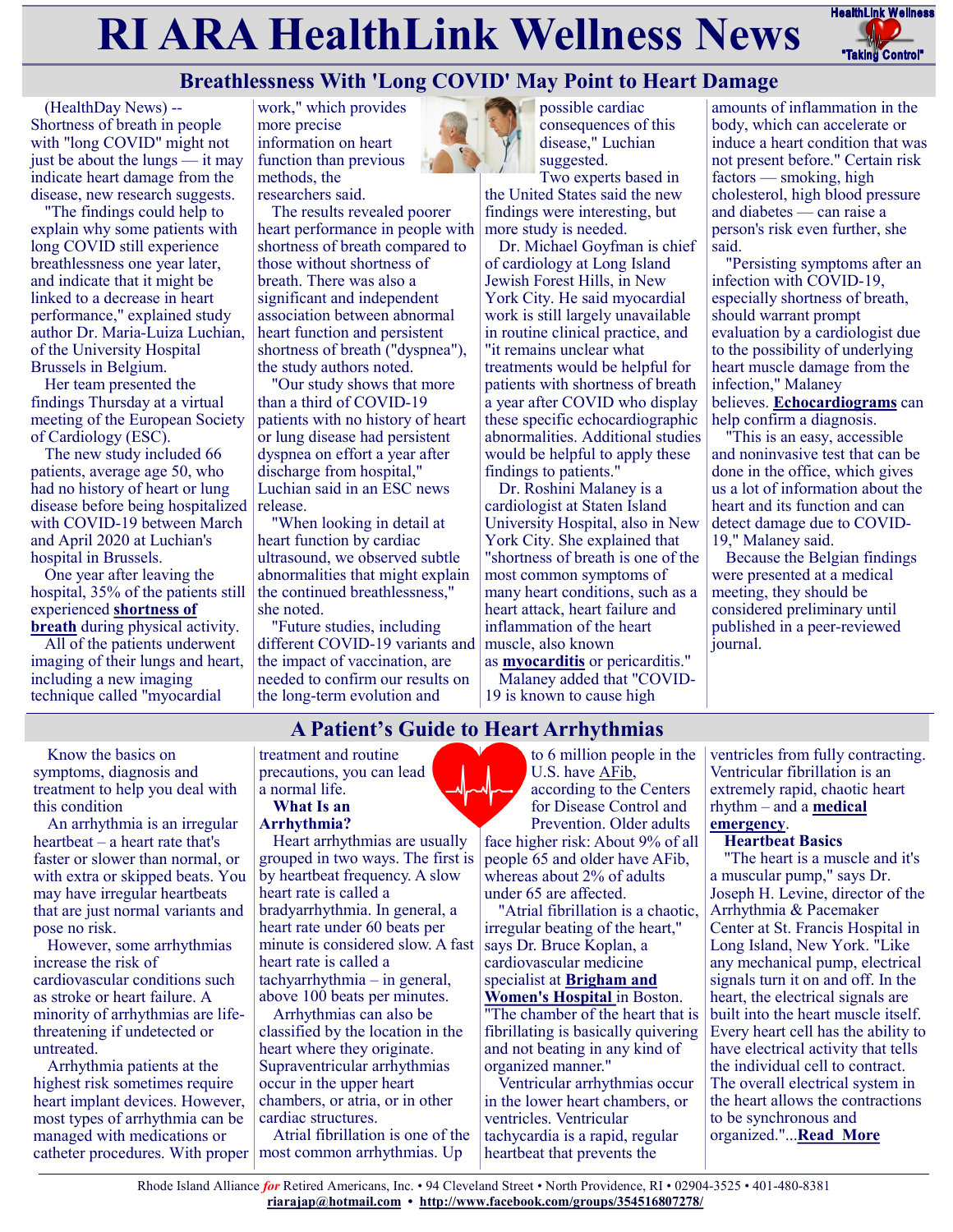# **RI ARA HealthLink Wellness News** FreathLink Wellness



# **Breathlessness With 'Long COVID' May Point to Heart Damage**

(HealthDay News) -- Shortness of breath in people with "long COVID" might not just be about the lungs — it may indicate heart damage from the disease, new research suggests.

"The findings could help to explain why some patients with long COVID still experience breathlessness one year later, and indicate that it might be linked to a decrease in heart performance," explained study author Dr. Maria-Luiza Luchian, of the University Hospital Brussels in Belgium.

Her team presented the findings Thursday at a virtual meeting of the European Society of Cardiology (ESC).

The new study included 66 patients, average age 50, who had no history of heart or lung disease before being hospitalized with COVID-19 between March and April 2020 at Luchian's hospital in Brussels.

One year after leaving the hospital, 35% of the patients still experienced **[shortness of](https://my.clevelandclinic.org/health/symptoms/16942-shortness-of-breath-dyspnea)  [breath](https://my.clevelandclinic.org/health/symptoms/16942-shortness-of-breath-dyspnea)** during physical activity.

All of the patients underwent imaging of their lungs and heart, including a new imaging technique called "myocardial

work," which provides more precise information on heart function than previous methods, the researchers said.

The results revealed poorer heart performance in people with shortness of breath compared to those without shortness of breath. There was also a significant and independent association between abnormal heart function and persistent shortness of breath ("dyspnea"), the study authors noted.

"Our study shows that more than a third of COVID-19 patients with no history of heart or lung disease had persistent dyspnea on effort a year after discharge from hospital," Luchian said in an ESC news release.

"When looking in detail at heart function by cardiac ultrasound, we observed subtle abnormalities that might explain the continued breathlessness," she noted.

"Future studies, including different COVID-19 variants and the impact of vaccination, are needed to confirm our results on the long-term evolution and



possible cardiac consequences of this disease," Luchian suggested.

Two experts based in the United States said the new findings were interesting, but more study is needed.

Dr. Michael Goyfman is chief of cardiology at Long Island Jewish Forest Hills, in New York City. He said myocardial work is still largely unavailable in routine clinical practice, and "it remains unclear what treatments would be helpful for patients with shortness of breath a year after COVID who display these specific echocardiographic abnormalities. Additional studies would be helpful to apply these findings to patients."

Dr. Roshini Malaney is a cardiologist at Staten Island University Hospital, also in New York City. She explained that "shortness of breath is one of the most common symptoms of many heart conditions, such as a heart attack, heart failure and inflammation of the heart muscle, also known

as **[myocarditis](https://www.cdc.gov/mmwr/volumes/70/wr/mm7035e5.htm)** or pericarditis." Malaney added that "COVID-19 is known to cause high

amounts of inflammation in the body, which can accelerate or induce a heart condition that was not present before." Certain risk factors — smoking, high cholesterol, high blood pressure and diabetes — can raise a person's risk even further, she said.

"Persisting symptoms after an infection with COVID-19, especially shortness of breath, should warrant prompt evaluation by a cardiologist due to the possibility of underlying heart muscle damage from the infection," Malaney believes. **[Echocardiograms](https://my.clevelandclinic.org/health/diagnostics/16947-echocardiogram)** can help confirm a diagnosis.

"This is an easy, accessible and noninvasive test that can be done in the office, which gives us a lot of information about the heart and its function and can detect damage due to COVID-19," Malaney said.

Because the Belgian findings were presented at a medical meeting, they should be considered preliminary until published in a peer-reviewed journal.

Know the basics on symptoms, diagnosis and treatment to help you deal with this condition

An arrhythmia is an irregular heartbeat – a heart rate that's faster or slower than normal, or with extra or skipped beats. You may have irregular heartbeats that are just normal variants and pose no risk.

However, some arrhythmias increase the risk of cardiovascular conditions such as stroke or heart failure. A minority of arrhythmias are lifethreatening if undetected or untreated.

Arrhythmia patients at the highest risk sometimes require heart implant devices. However, most types of arrhythmia can be managed with medications or catheter procedures. With proper

#### treatment and routine precautions, you can lead a normal life.

#### **What Is an Arrhythmia?**

Heart arrhythmias are usually grouped in two ways. The first is by heartbeat frequency. A slow heart rate is called a bradyarrhythmia. In general, a heart rate under 60 beats per minute is considered slow. A fast heart rate is called a tachyarrhythmia – in general, above 100 beats per minutes.

Arrhythmias can also be classified by the location in the heart where they originate. Supraventricular arrhythmias occur in the upper heart chambers, or atria, or in other cardiac structures.

Atrial fibrillation is one of the most common arrhythmias. Up

to 6 million people in the U.S. have [AFib,](https://health.usnews.com/health-care/for-better/articles/2018-07-18/is-ablation-the-best-treatment-for-heart-palpitation) according to the Centers for Disease Control and Prevention. Older adults face higher risk: About 9% of all people 65 and older have AFib, whereas about 2% of adults under 65 are affected.

"Atrial fibrillation is a chaotic, irregular beating of the heart," says Dr. Bruce Koplan, a cardiovascular medicine specialist at **[Brigham and](https://health.usnews.com/best-hospitals/area/ma/brigham-and-womens-hospital-6140215)  [Women's Hospital](https://health.usnews.com/best-hospitals/area/ma/brigham-and-womens-hospital-6140215)** in Boston.

"The chamber of the heart that is fibrillating is basically quivering and not beating in any kind of organized manner."

Ventricular arrhythmias occur in the lower heart chambers, or ventricles. Ventricular tachycardia is a rapid, regular heartbeat that prevents the

ventricles from fully contracting. Ventricular fibrillation is an extremely rapid, chaotic heart rhythm – and a **[medical](https://health.usnews.com/health-care/patient-advice/slideshows/12-medical-emergencies-you-need-to-address-right-away)  [emergency](https://health.usnews.com/health-care/patient-advice/slideshows/12-medical-emergencies-you-need-to-address-right-away)**.

#### **Heartbeat Basics**

"The heart is a muscle and it's a muscular pump," says Dr. Joseph H. Levine, director of the Arrhythmia & Pacemaker Center at St. Francis Hospital in Long Island, New York. "Like any mechanical pump, electrical signals turn it on and off. In the heart, the electrical signals are built into the heart muscle itself. Every heart cell has the ability to have electrical activity that tells the individual cell to contract. The overall electrical system in the heart allows the contractions to be synchronous and organized."...**[Read More](https://health.usnews.com/conditions/heart-disease/heart-arrhythmia?int=hp_condition_guide_section_health)**

**A Patient's Guide to Heart Arrhythmias**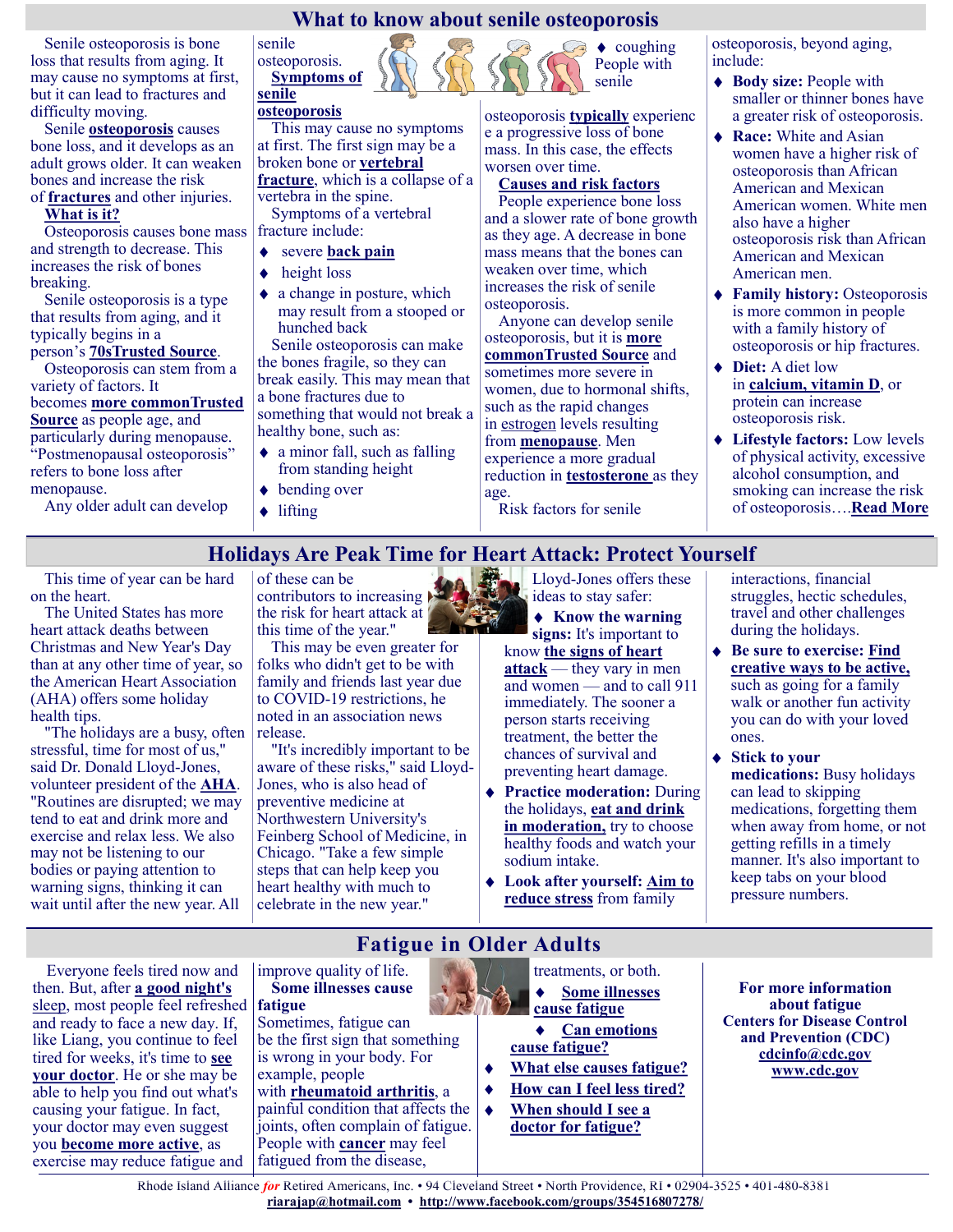## **What to know about senile osteoporosis**

Senile osteoporosis is bone loss that results from aging. It may cause no symptoms at first, but it can lead to fractures and difficulty moving.

Senile **[osteoporosis](https://www.medicalnewstoday.com/articles/155646)** causes bone loss, and it develops as an adult grows older. It can weaken bones and increase the risk of **[fractures](https://www.medicalnewstoday.com/articles/173312)** and other injuries.

## **What is it?**

Osteoporosis causes bone mass and strength to decrease. This increases the risk of bones breaking.

Senile osteoporosis is a type that results from aging, and it typically begins in a

# person's **[70sTrusted Source](https://www.ncbi.nlm.nih.gov/pmc/articles/PMC6981793/)**.

Osteoporosis can stem from a variety of factors. It becomes **[more commonTrusted](https://www.niams.nih.gov/health-topics/osteoporosis/advanced)  [Source](https://www.niams.nih.gov/health-topics/osteoporosis/advanced)** as people age, and particularly during menopause. "Postmenopausal osteoporosis" refers to bone loss after menopause.

Any older adult can develop

senile osteoporosis. **Symptoms of senile** 

## **osteoporosis**

This may cause no symptoms at first. The first sign may be a broken bone or **[vertebral](https://www.medicalnewstoday.com/articles/broken-back)  [fracture](https://www.medicalnewstoday.com/articles/broken-back)**, which is a collapse of a vertebra in the spine. Symptoms of a vertebral fracture include:

- severe **[back pain](https://www.medicalnewstoday.com/articles/172943)**  $\bullet$
- $\blacklozenge$ height loss
- $\bullet$  a change in posture, which may result from a stooped or hunched back

Senile osteoporosis can make the bones fragile, so they can break easily. This may mean that a bone fractures due to something that would not break a healthy bone, such as:

- a minor fall, such as falling from standing height
- ◆ bending over
- $\triangle$ lifting

 $\bullet$  coughing People with senile

osteoporosis **[typically](https://www.sciencedirect.com/topics/medicine-and-dentistry/senile-osteoporosis)** experienc e a progressive loss of bone mass. In this case, the effects worsen over time.

## **Causes and risk factors**

People experience bone loss and a slower rate of bone growth as they age. A decrease in bone mass means that the bones can weaken over time, which increases the risk of senile osteoporosis.

Anyone can develop senile osteoporosis, but it is **[more](https://www.niams.nih.gov/health-topics/osteoporosis/advanced)  [commonTrusted Source](https://www.niams.nih.gov/health-topics/osteoporosis/advanced)** and sometimes more severe in women, due to hormonal shifts, such as the rapid changes in [estrogen](https://www.medicalnewstoday.com/articles/277177) levels resulting from **[menopause](https://www.medicalnewstoday.com/articles/155651)**. Men experience a more gradual reduction in **[testosterone](https://www.medicalnewstoday.com/articles/276013)** as they age.

Risk factors for senile

osteoporosis, beyond aging, include:

- ◆ **Body size:** People with smaller or thinner bones have a greater risk of osteoporosis.
- ◆ **Race:** White and Asian women have a higher risk of osteoporosis than African American and Mexican American women. White men also have a higher osteoporosis risk than African American and Mexican American men.
- **Family history:** Osteoporosis is more common in people with a family history of osteoporosis or hip fractures.
- ◆ **Diet:** A diet low in **[calcium,](https://www.medicalnewstoday.com/articles/248958) vitamin D**, or protein can increase osteoporosis risk.
- **Lifestyle factors:** Low levels of physical activity, excessive alcohol consumption, and smoking can increase the risk of osteoporosis….**[Read More](https://www.medicalnewstoday.com/articles/senile-osteoporosis)**

# **Holidays Are Peak Time for Heart Attack: Protect Yourself**

This time of year can be hard on the heart.

The United States has more heart attack deaths between Christmas and New Year's Day than at any other time of year, so the American Heart Association (AHA) offers some holiday health tips.

"The holidays are a busy, often stressful, time for most of us," said Dr. Donald Lloyd-Jones, volunteer president of the **[AHA](https://www.heart.org/en/about-us/heart-attack-and-stroke-symptoms)**. "Routines are disrupted; we may tend to eat and drink more and exercise and relax less. We also may not be listening to our bodies or paying attention to warning signs, thinking it can wait until after the new year. All

of these can be contributors to increasing the risk for heart attack at this time of the year."

This may be even greater for folks who didn't get to be with family and friends last year due to COVID-19 restrictions, he noted in an association news release.

"It's incredibly important to be aware of these risks," said Lloyd-Jones, who is also head of preventive medicine at Northwestern University's Feinberg School of Medicine, in Chicago. "Take a few simple steps that can help keep you heart healthy with much to celebrate in the new year."

Lloyd-Jones offers these  $\frac{2\pi}{3}$  ideas to stay safer:

**Know the warning signs:** It's important to

know **[the signs of heart](https://www.heart.org/en/about-us/heart-attack-and-stroke-symptoms)  [attack](https://www.heart.org/en/about-us/heart-attack-and-stroke-symptoms)** — they vary in men and women — and to call 911 immediately. The sooner a person starts receiving treatment, the better the chances of survival and preventing heart damage.

- **Practice moderation:** During the holidays, **[eat and drink](https://www.hsph.harvard.edu/nutritionsource/healthy-eating-plate/)  [in moderation,](https://www.hsph.harvard.edu/nutritionsource/healthy-eating-plate/)** try to choose healthy foods and watch your sodium intake.
- **Look after yourself: [Aim to](https://theheartfoundation.org/2019/12/21/8-tips-to-keep-your-heart-healthy-during-the-holidays/)  [reduce stress](https://theheartfoundation.org/2019/12/21/8-tips-to-keep-your-heart-healthy-during-the-holidays/)** from family

interactions, financial struggles, hectic schedules, travel and other challenges during the holidays.

- **Be sure to exercise: [Find](https://www.heart.org/en/healthy-living/fitness/getting-active/how-to-get-your-family-active)  [creative ways to be active,](https://www.heart.org/en/healthy-living/fitness/getting-active/how-to-get-your-family-active)** such as going for a family walk or another fun activity you can do with your loved ones.
- ◆ Stick to your **medications:** Busy holidays can lead to skipping medications, forgetting them when away from home, or not getting refills in a timely manner. It's also important to keep tabs on your blood pressure numbers.

Everyone feels tired now and then. But, after **[a good night's](https://www.nia.nih.gov/health/good-nights-sleep)**  [sleep,](https://www.nia.nih.gov/health/good-nights-sleep) most people feel refreshed and ready to face a new day. If, like Liang, you continue to feel tired for weeks, it's time to **[see](https://www.nia.nih.gov/health/what-do-i-need-tell-doctor)  [your doctor](https://www.nia.nih.gov/health/what-do-i-need-tell-doctor)**. He or she may be able to help you find out what's causing your fatigue. In fact, your doctor may even suggest you **[become more active](https://www.nia.nih.gov/health/exercise-and-physical-activity-getting-fit-life)**, as exercise may reduce fatigue and

# **Fatigue in Older Adults**

improve quality of life. **Some illnesses cause fatigue**

Sometimes, fatigue can be the first sign that something is wrong in your body. For example, people with **[rheumatoid arthritis](http://www.niams.nih.gov/health_info/arthritis/arthritis_rheumatic.asp)**, a painful condition that affects the joints, often complain of fatigue. People with **[cancer](https://www.cancer.gov/about-cancer)** may feel

fatigued from the disease,



**[cause fatigue](https://www.nia.nih.gov/health/fatigue-older-adults#illnesses)**

- **[Can emotions](https://www.nia.nih.gov/health/fatigue-older-adults#emotions)  [cause fatigue?](https://www.nia.nih.gov/health/fatigue-older-adults#emotions)**
- **[What else causes fatigue?](https://www.nia.nih.gov/health/fatigue-older-adults#causes)**
- **[How can I feel less tired?](https://www.nia.nih.gov/health/fatigue-older-adults#tips)**
- $\blacklozenge$ **[When should I see a](https://www.nia.nih.gov/health/fatigue-older-adults#doctor)  [doctor for fatigue?](https://www.nia.nih.gov/health/fatigue-older-adults#doctor)**

**For more information about fatigue Centers for Disease Control and Prevention (CDC) [cdcinfo@cdc.gov](mailto:cdcinfo@cdc.gov) [www.cdc.gov](http://www.cdc.gov/)**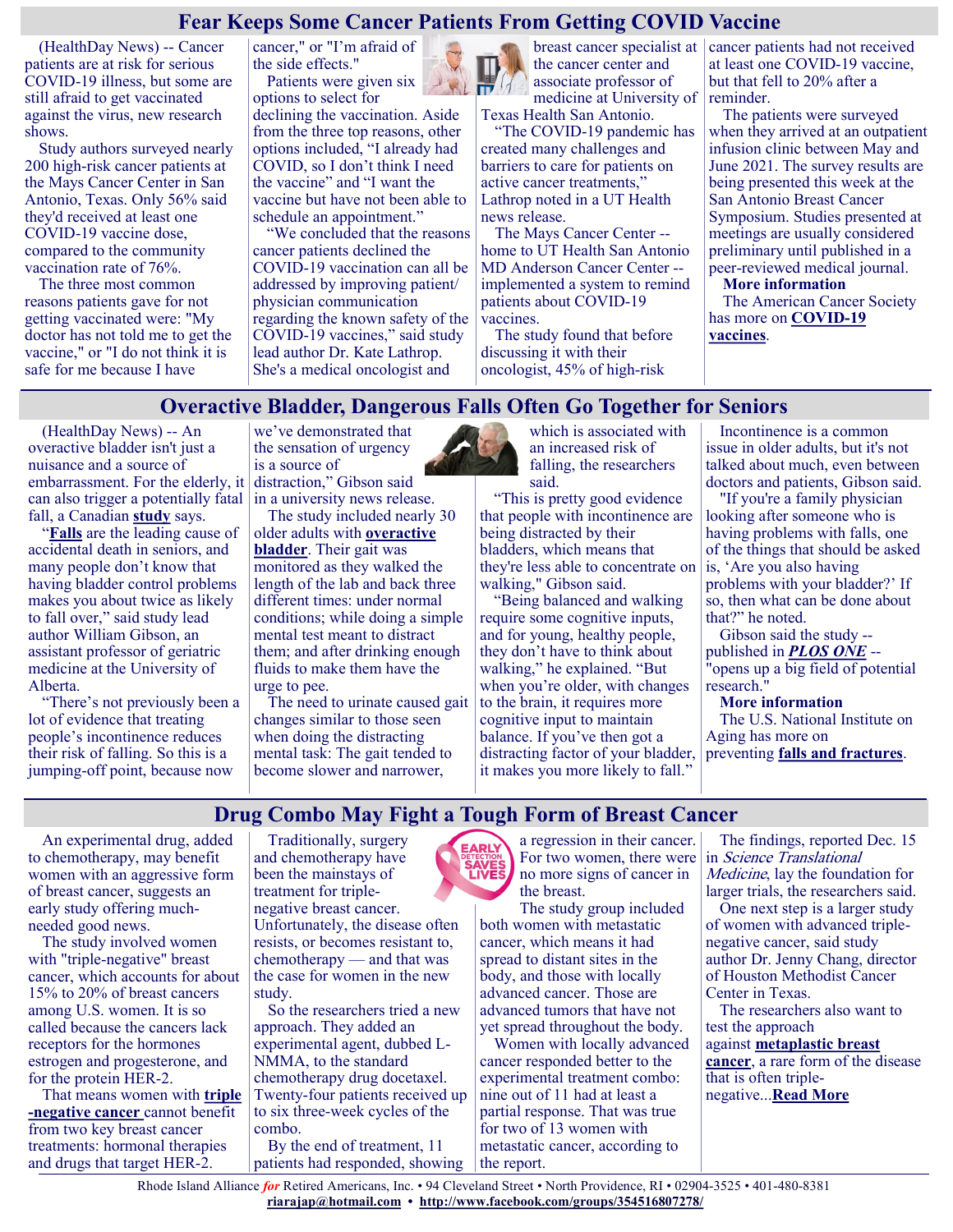## **Fear Keeps Some Cancer Patients From Getting COVID Vaccine**

(HealthDay News) -- Cancer patients are at risk for serious COVID-19 illness, but some are still afraid to get vaccinated against the virus, new research shows.

Study authors surveyed nearly 200 high-risk cancer patients at the Mays Cancer Center in San Antonio, Texas. Only 56% said they'd received at least one COVID-19 vaccine dose, compared to the community vaccination rate of 76%.

The three most common reasons patients gave for not getting vaccinated were: "My doctor has not told me to get the vaccine," or "I do not think it is safe for me because I have

cancer," or "I'm afraid of the side effects." Patients were given six

options to select for

declining the vaccination. Aside from the three top reasons, other options included, "I already had COVID, so I don't think I need the vaccine" and "I want the vaccine but have not been able to schedule an appointment."

"We concluded that the reasons cancer patients declined the COVID-19 vaccination can all be addressed by improving patient/ physician communication regarding the known safety of the COVID-19 vaccines," said study lead author Dr. Kate Lathrop. She's a medical oncologist and



breast cancer specialist at the cancer center and associate professor of medicine at University of

Texas Health San Antonio. "The COVID-19 pandemic has created many challenges and barriers to care for patients on active cancer treatments," Lathrop noted in a UT Health news release.

The Mays Cancer Center - home to UT Health San Antonio MD Anderson Cancer Center - implemented a system to remind patients about COVID-19 vaccines.

The study found that before discussing it with their oncologist, 45% of high-risk

cancer patients had not received at least one COVID-19 vaccine, but that fell to 20% after a reminder.

The patients were surveyed when they arrived at an outpatient infusion clinic between May and June 2021. The survey results are being presented this week at the San Antonio Breast Cancer Symposium. Studies presented at meetings are usually considered preliminary until published in a peer-reviewed medical journal.

**More information**

The American Cancer Society has more on **[COVID](https://www.cancer.org/treatment/treatments-and-side-effects/physical-side-effects/low-blood-counts/infections/covid-19-vaccines-in-people-with-cancer.html)-19 [vaccines](https://www.cancer.org/treatment/treatments-and-side-effects/physical-side-effects/low-blood-counts/infections/covid-19-vaccines-in-people-with-cancer.html)**.

# **Overactive Bladder, Dangerous Falls Often Go Together for Seniors**

(HealthDay News) -- An overactive bladder isn't just a nuisance and a source of embarrassment. For the elderly, it can also trigger a potentially fatal fall, a Canadian **[study](https://journals.plos.org/plosone/article?id=10.1371/journal.pone.0257506)** says.

"**[Falls](https://www.cdc.gov/homeandrecreationalsafety/falls/adultfalls.html)** are the leading cause of accidental death in seniors, and many people don't know that having bladder control problems makes you about twice as likely to fall over," said study lead author William Gibson, an assistant professor of geriatric medicine at the University of Alberta.

"There's not previously been a lot of evidence that treating people's incontinence reduces their risk of falling. So this is a jumping-off point, because now

we've demonstrated that the sensation of urgency is a source of distraction," Gibson said

in a university news release. The study included nearly 30

older adults with **[overactive](https://my.clevelandclinic.org/health/diseases/14248--overactive-bladder-)  [bladder](https://my.clevelandclinic.org/health/diseases/14248--overactive-bladder-)**. Their gait was monitored as they walked the length of the lab and back three different times: under normal conditions; while doing a simple mental test meant to distract them; and after drinking enough fluids to make them have the urge to pee.

The need to urinate caused gait changes similar to those seen when doing the distracting mental task: The gait tended to become slower and narrower,



which is associated with an increased risk of falling, the researchers said.

"This is pretty good evidence that people with incontinence are being distracted by their bladders, which means that they're less able to concentrate on walking," Gibson said.

"Being balanced and walking require some cognitive inputs, and for young, healthy people, they don't have to think about walking," he explained. "But when you're older, with changes to the brain, it requires more cognitive input to maintain balance. If you've then got a distracting factor of your bladder, it makes you more likely to fall."

Incontinence is a common issue in older adults, but it's not talked about much, even between doctors and patients, Gibson said.

"If you're a family physician looking after someone who is having problems with falls, one of the things that should be asked is, 'Are you also having problems with your bladder?' If so, then what can be done about that?" he noted.

Gibson said the study - published in *[PLOS ONE](https://journals.plos.org/plosone/article?id=10.1371/journal.pone.0257506)* -- "opens up a big field of potential research."

**More information** The U.S. National Institute on Aging has more on preventing **[falls and fractures](https://www.nia.nih.gov/health/prevent-falls-and-fractures)**.

# **Drug Combo May Fight a Tough Form of Breast Cancer**

An experimental drug, added to chemotherapy, may benefit women with an aggressive form of breast cancer, suggests an early study offering muchneeded good news.

The study involved women with "triple-negative" breast cancer, which accounts for about 15% to 20% of breast cancers among U.S. women. It is so called because the cancers lack receptors for the hormones estrogen and progesterone, and for the protein HER-2.

That means women with **[triple](https://www.cdc.gov/cancer/breast/triple-negative.htm) -[negative cancer](https://www.cdc.gov/cancer/breast/triple-negative.htm)** cannot benefit from two key breast cancer treatments: hormonal therapies and drugs that target HER-2.

Traditionally, surgery and chemotherapy have been the mainstays of treatment for triplenegative breast cancer.

Unfortunately, the disease often resists, or becomes resistant to, chemotherapy — and that was the case for women in the new study.

So the researchers tried a new approach. They added an experimental agent, dubbed L-NMMA, to the standard chemotherapy drug docetaxel. Twenty-four patients received up to six three-week cycles of the combo.

By the end of treatment, 11 patients had responded, showing



a regression in their cancer. For two women, there were no more signs of cancer in the breast.

The study group included both women with metastatic cancer, which means it had spread to distant sites in the body, and those with locally advanced cancer. Those are advanced tumors that have not yet spread throughout the body.

Women with locally advanced cancer responded better to the experimental treatment combo: nine out of 11 had at least a partial response. That was true for two of 13 women with metastatic cancer, according to the report.

The findings, reported Dec. 15 in Science Translational Medicine, lay the foundation for larger trials, the researchers said.

One next step is a larger study of women with advanced triplenegative cancer, said study author Dr. Jenny Chang, director of Houston Methodist Cancer Center in Texas.

The researchers also want to test the approach against **[metaplastic breast](https://rarediseases.info.nih.gov/diseases/10804/metaplastic-carcinoma-of-the-breast/cases/31164)  [cancer](https://rarediseases.info.nih.gov/diseases/10804/metaplastic-carcinoma-of-the-breast/cases/31164)**, a rare form of the disease that is often triplenegative...**[Read More](https://consumer.healthday.com/12-15-drug-combo-may-fight-a-tough-form-of-breast-cancer-2656019796.html)**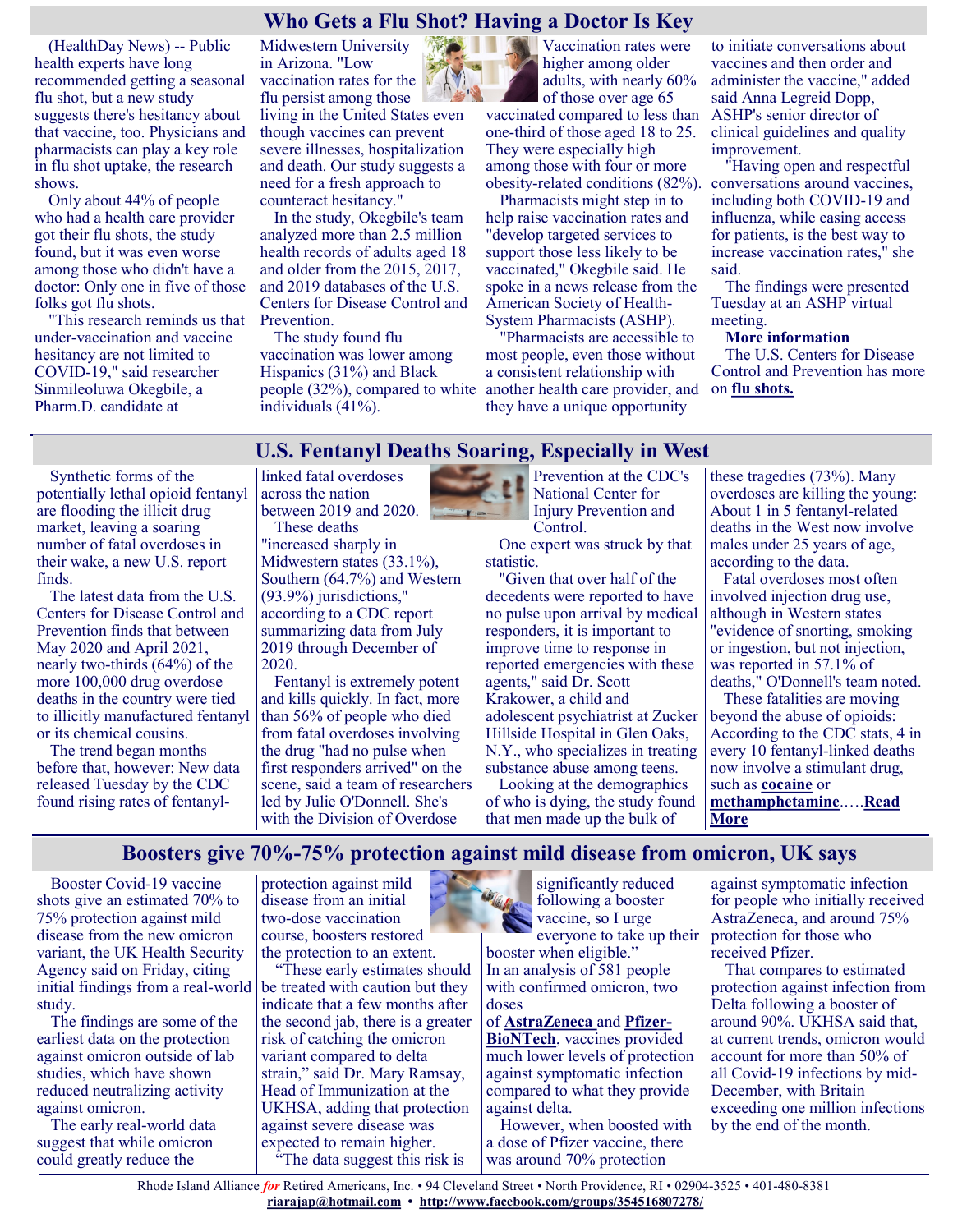## **Who Gets a Flu Shot? Having a Doctor Is Key**

(HealthDay News) -- Public health experts have long recommended getting a seasonal flu shot, but a new study suggests there's hesitancy about that vaccine, too. Physicians and pharmacists can play a key role in flu shot uptake, the research shows.

Only about 44% of people who had a health care provider got their flu shots, the study found, but it was even worse among those who didn't have a doctor: Only one in five of those folks got flu shots.

"This research reminds us that under-vaccination and vaccine hesitancy are not limited to COVID-19," said researcher Sinmileoluwa Okegbile, a Pharm.D. candidate at

Midwestern University in Arizona. "Low vaccination rates for the flu persist among those living in the United States even though vaccines can prevent severe illnesses, hospitalization and death. Our study suggests a need for a fresh approach to counteract hesitancy."

In the study, Okegbile's team analyzed more than 2.5 million health records of adults aged 18 and older from the 2015, 2017, and 2019 databases of the U.S. Centers for Disease Control and Prevention.

The study found flu vaccination was lower among Hispanics (31%) and Black people (32%), compared to white individuals (41%).

Vaccination rates were higher among older adults, with nearly 60%

of those over age 65 vaccinated compared to less than one-third of those aged 18 to 25. They were especially high among those with four or more obesity-related conditions (82%).

Pharmacists might step in to help raise vaccination rates and "develop targeted services to support those less likely to be vaccinated," Okegbile said. He spoke in a news release from the American Society of Health-System Pharmacists (ASHP).

"Pharmacists are accessible to most people, even those without a consistent relationship with another health care provider, and they have a unique opportunity

to initiate conversations about vaccines and then order and administer the vaccine," added said Anna Legreid Dopp, ASHP's senior director of clinical guidelines and quality improvement.

"Having open and respectful conversations around vaccines, including both COVID-19 and influenza, while easing access for patients, is the best way to increase vaccination rates," she said.

The findings were presented Tuesday at an ASHP virtual meeting.

#### **More information**

The U.S. Centers for Disease Control and Prevention has more on **[flu shots.](https://www.cdc.gov/flu/prevent/flushot.htm)**

# **U.S. Fentanyl Deaths Soaring, Especially in West**

Synthetic forms of the potentially lethal opioid fentanyl are flooding the illicit drug market, leaving a soaring number of fatal overdoses in their wake, a new U.S. report finds.

The latest data from the U.S. Centers for Disease Control and Prevention finds that between May 2020 and April 2021, nearly two-thirds (64%) of the more 100,000 drug overdose deaths in the country were tied to illicitly manufactured fentanyl or its chemical cousins.

The trend began months before that, however: New data released Tuesday by the CDC found rising rates of fentanyllinked fatal overdoses across the nation between 2019 and 2020. These deaths "increased sharply in Midwestern states (33.1%), Southern (64.7%) and Western (93.9%) jurisdictions," according to a CDC report summarizing data from July 2019 through December of 2020.

[Fentanyl](https://www.drugabuse.gov/publications/drugfacts/fentanyl) is extremely potent and kills quickly. In fact, more than 56% of people who died from fatal overdoses involving the drug "had no pulse when first responders arrived" on the scene, said a team of researchers led by Julie O'Donnell. She's with the Division of Overdose



Prevention at the CDC's National Center for Injury Prevention and Control.

One expert was struck by that statistic.

"Given that over half of the decedents were reported to have no pulse upon arrival by medical responders, it is important to improve time to response in reported emergencies with these agents," said Dr. Scott Krakower, a child and adolescent psychiatrist at Zucker Hillside Hospital in Glen Oaks, N.Y., who specializes in treating substance abuse among teens.

Looking at the demographics of who is dying, the study found that men made up the bulk of

these tragedies (73%). Many overdoses are killing the young: About 1 in 5 fentanyl-related deaths in the West now involve males under 25 years of age, according to the data.

Fatal overdoses most often involved injection drug use, although in Western states "evidence of snorting, smoking or ingestion, but not injection, was reported in 57.1% of deaths," O'Donnell's team noted. These fatalities are moving

beyond the abuse of opioids: According to the CDC stats, 4 in every 10 fentanyl-linked deaths now involve a stimulant drug, such as **[cocaine](https://www.drugabuse.gov/publications/drugfacts/cocaine)** or **[methamphetamine](https://www.drugabuse.gov/publications/drugfacts/methamphetamine)**.….**[Read](https://consumer.healthday.com/sb-12-14-u-s-fentanyl-deaths-soaring-especially-in-west-2656027311.html)  [More](https://consumer.healthday.com/sb-12-14-u-s-fentanyl-deaths-soaring-especially-in-west-2656027311.html)**

## **Boosters give 70%-75% protection against mild disease from omicron, UK says**

Booster Covid-19 vaccine shots give an estimated 70% to 75% protection against mild disease from the new omicron variant, the UK Health Security Agency said on Friday, citing initial findings from a real-world study.

The findings are some of the earliest data on the protection against omicron outside of lab studies, which have shown reduced neutralizing activity against omicron.

The early real-world data suggest that while omicron could greatly reduce the

protection against mild disease from an initial two-dose vaccination course, boosters restored the protection to an extent.

"These early estimates should be treated with caution but they indicate that a few months after the second jab, there is a greater risk of catching the omicron variant compared to delta strain," said Dr. Mary Ramsay, Head of Immunization at the UKHSA, adding that protection against severe disease was expected to remain higher. "The data suggest this risk is



following a booster vaccine, so I urge everyone to take up their booster when eligible." In an analysis of 581 people with confirmed omicron, two doses

#### of **[AstraZeneca](https://www.cnbc.com/quotes/AZN-GB)** and **[Pfizer](https://www.cnbc.com/quotes/PFE)-[BioNTech](https://www.cnbc.com/quotes/PFE)**, vaccines provided much lower levels of protection against symptomatic infection

compared to what they provide against delta. However, when boosted with

a dose of Pfizer vaccine, there was around 70% protection

against symptomatic infection for people who initially received AstraZeneca, and around 75% protection for those who received Pfizer.

That compares to estimated protection against infection from Delta following a booster of around 90%. UKHSA said that, at current trends, omicron would account for more than 50% of all Covid-19 infections by mid-December, with Britain exceeding one million infections by the end of the month.